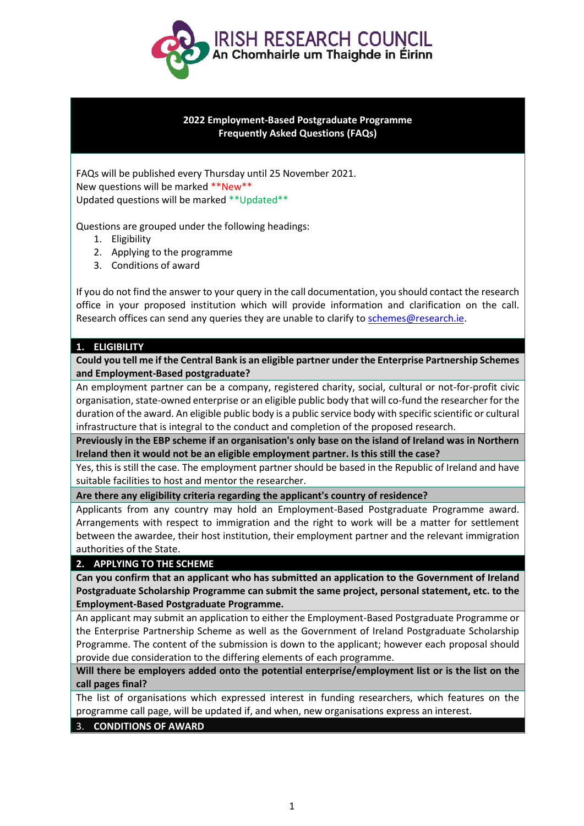

## **2022 Employment-Based Postgraduate Programme Frequently Asked Questions (FAQs)**

FAQs will be published every Thursday until 25 November 2021. New questions will be marked \*\*New\*\* Updated questions will be marked \*\*Updated\*\*

Questions are grouped under the following headings:

- 1. Eligibility
- 2. Applying to the programme
- 3. Conditions of award

If you do not find the answer to your query in the call documentation, you should contact the research office in your proposed institution which will provide information and clarification on the call. Research offices can send any queries they are unable to clarify to [schemes@research.ie.](mailto:schemes@research.ie)

## **1. ELIGIBILITY**

**Could you tell me if the Central Bank is an eligible partner under the Enterprise Partnership Schemes and Employment-Based postgraduate?**

An employment partner can be a company, registered charity, social, cultural or not-for-profit civic organisation, state-owned enterprise or an eligible public body that will co-fund the researcher for the duration of the award. An eligible public body is a public service body with specific scientific or cultural infrastructure that is integral to the conduct and completion of the proposed research.

**Previously in the EBP scheme if an organisation's only base on the island of Ireland was in Northern Ireland then it would not be an eligible employment partner. Is this still the case?**

Yes, this is still the case. The employment partner should be based in the Republic of Ireland and have suitable facilities to host and mentor the researcher.

**Are there any eligibility criteria regarding the applicant's country of residence?**

Applicants from any country may hold an Employment-Based Postgraduate Programme award. Arrangements with respect to immigration and the right to work will be a matter for settlement between the awardee, their host institution, their employment partner and the relevant immigration authorities of the State.

## **2. APPLYING TO THE SCHEME**

**Can you confirm that an applicant who has submitted an application to the Government of Ireland Postgraduate Scholarship Programme can submit the same project, personal statement, etc. to the Employment-Based Postgraduate Programme.**

An applicant may submit an application to either the Employment-Based Postgraduate Programme or the Enterprise Partnership Scheme as well as the Government of Ireland Postgraduate Scholarship Programme. The content of the submission is down to the applicant; however each proposal should provide due consideration to the differing elements of each programme.

**Will there be employers added onto the potential enterprise/employment list or is the list on the call pages final?**

The list of organisations which expressed interest in funding researchers, which features on the programme call page, will be updated if, and when, new organisations express an interest.

3. **CONDITIONS OF AWARD**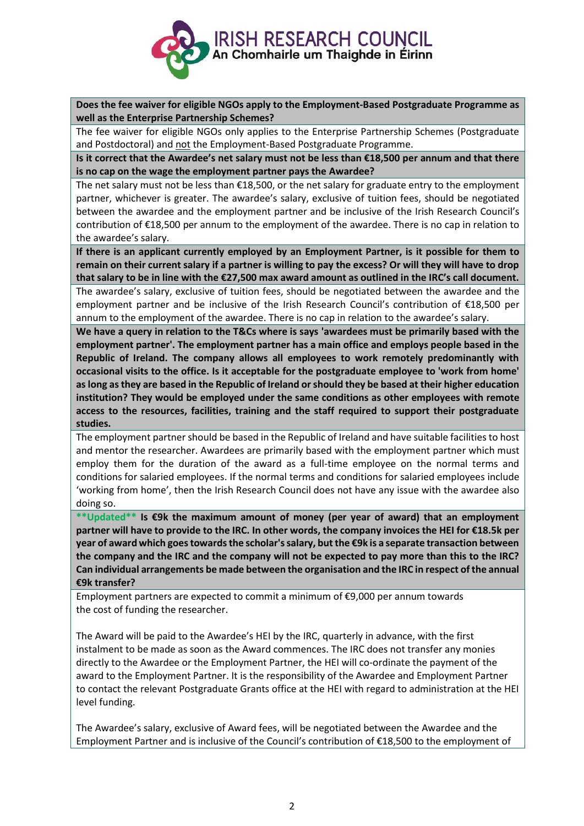

**Does the fee waiver for eligible NGOs apply to the Employment-Based Postgraduate Programme as well as the Enterprise Partnership Schemes?**

The fee waiver for eligible NGOs only applies to the Enterprise Partnership Schemes (Postgraduate and Postdoctoral) and not the Employment-Based Postgraduate Programme.

**Is it correct that the Awardee's net salary must not be less than €18,500 per annum and that there is no cap on the wage the employment partner pays the Awardee?**

The net salary must not be less than €18,500, or the net salary for graduate entry to the employment partner, whichever is greater. The awardee's salary, exclusive of tuition fees, should be negotiated between the awardee and the employment partner and be inclusive of the Irish Research Council's contribution of €18,500 per annum to the employment of the awardee. There is no cap in relation to the awardee's salary.

**If there is an applicant currently employed by an Employment Partner, is it possible for them to remain on their current salary if a partner is willing to pay the excess? Or will they will have to drop that salary to be in line with the €27,500 max award amount as outlined in the IRC's call document.**

The awardee's salary, exclusive of tuition fees, should be negotiated between the awardee and the employment partner and be inclusive of the Irish Research Council's contribution of €18,500 per annum to the employment of the awardee. There is no cap in relation to the awardee's salary.

**We have a query in relation to the T&Cs where is says 'awardees must be primarily based with the employment partner'. The employment partner has a main office and employs people based in the Republic of Ireland. The company allows all employees to work remotely predominantly with occasional visits to the office. Is it acceptable for the postgraduate employee to 'work from home' as long as they are based in the Republic of Ireland or should they be based at their higher education institution? They would be employed under the same conditions as other employees with remote access to the resources, facilities, training and the staff required to support their postgraduate studies.**

The employment partner should be based in the Republic of Ireland and have suitable facilities to host and mentor the researcher. Awardees are primarily based with the employment partner which must employ them for the duration of the award as a full-time employee on the normal terms and conditions for salaried employees. If the normal terms and conditions for salaried employees include 'working from home', then the Irish Research Council does not have any issue with the awardee also doing so.

**\*\*Updated\*\* Is €9k the maximum amount of money (per year of award) that an employment partner will have to provide to the IRC. In other words, the company invoices the HEI for €18.5k per year of award which goes towards the scholar's salary, but the €9k is a separate transaction between the company and the IRC and the company will not be expected to pay more than this to the IRC? Can individual arrangements be made between the organisation and the IRC in respect of the annual €9k transfer?**

Employment partners are expected to commit a minimum of €9,000 per annum towards the cost of funding the researcher.

The Award will be paid to the Awardee's HEI by the IRC, quarterly in advance, with the first instalment to be made as soon as the Award commences. The IRC does not transfer any monies directly to the Awardee or the Employment Partner, the HEI will co-ordinate the payment of the award to the Employment Partner. It is the responsibility of the Awardee and Employment Partner to contact the relevant Postgraduate Grants office at the HEI with regard to administration at the HEI level funding.

The Awardee's salary, exclusive of Award fees, will be negotiated between the Awardee and the Employment Partner and is inclusive of the Council's contribution of €18,500 to the employment of